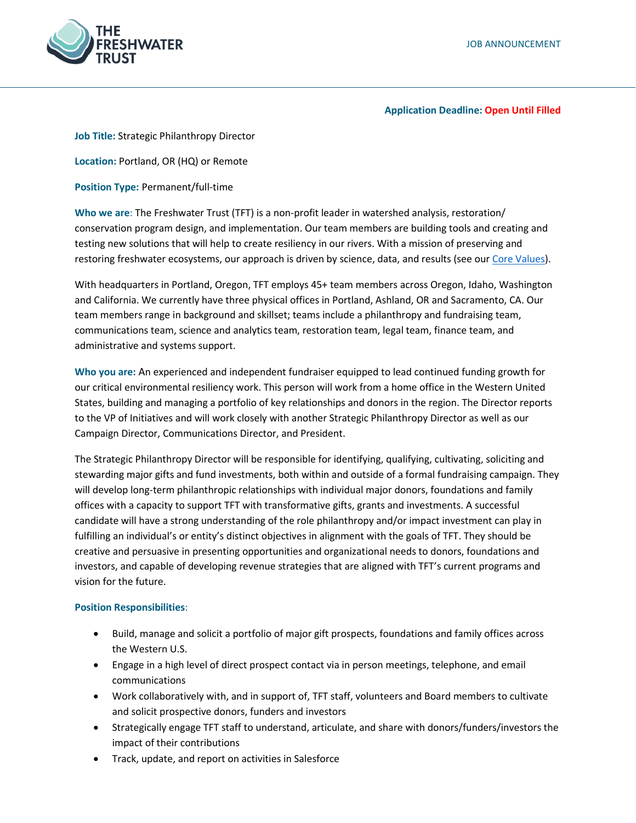

### **Application Deadline: Open Until Filled**

**Job Title:** Strategic Philanthropy Director

**Location:** Portland, OR (HQ) or Remote

**Position Type:** Permanent/full-time

**Who we are**: The Freshwater Trust (TFT) is a non-profit leader in watershed analysis, restoration/ conservation program design, and implementation. Our team members are building tools and creating and testing new solutions that will help to create resiliency in our rivers. With a mission of preserving and restoring freshwater ecosystems, our approach is driven by science, data, and results (see our [Core Values\)](https://www.thefreshwatertrust.org/about-us/core-values/).

With headquarters in Portland, Oregon, TFT employs 45+ team members across Oregon, Idaho, Washington and California. We currently have three physical offices in Portland, Ashland, OR and Sacramento, CA. Our team members range in background and skillset; teams include a philanthropy and fundraising team, communications team, science and analytics team, restoration team, legal team, finance team, and administrative and systems support.

**Who you are:** An experienced and independent fundraiser equipped to lead continued funding growth for our critical environmental resiliency work. This person will work from a home office in the Western United States, building and managing a portfolio of key relationships and donors in the region. The Director reports to the VP of Initiatives and will work closely with another Strategic Philanthropy Director as well as our Campaign Director, Communications Director, and President.

The Strategic Philanthropy Director will be responsible for identifying, qualifying, cultivating, soliciting and stewarding major gifts and fund investments, both within and outside of a formal fundraising campaign. They will develop long-term philanthropic relationships with individual major donors, foundations and family offices with a capacity to support TFT with transformative gifts, grants and investments. A successful candidate will have a strong understanding of the role philanthropy and/or impact investment can play in fulfilling an individual's or entity's distinct objectives in alignment with the goals of TFT. They should be creative and persuasive in presenting opportunities and organizational needs to donors, foundations and investors, and capable of developing revenue strategies that are aligned with TFT's current programs and vision for the future.

## **Position Responsibilities**:

- Build, manage and solicit a portfolio of major gift prospects, foundations and family offices across the Western U.S.
- Engage in a high level of direct prospect contact via in person meetings, telephone, and email communications
- Work collaboratively with, and in support of, TFT staff, volunteers and Board members to cultivate and solicit prospective donors, funders and investors
- Strategically engage TFT staff to understand, articulate, and share with donors/funders/investors the impact of their contributions
- Track, update, and report on activities in Salesforce